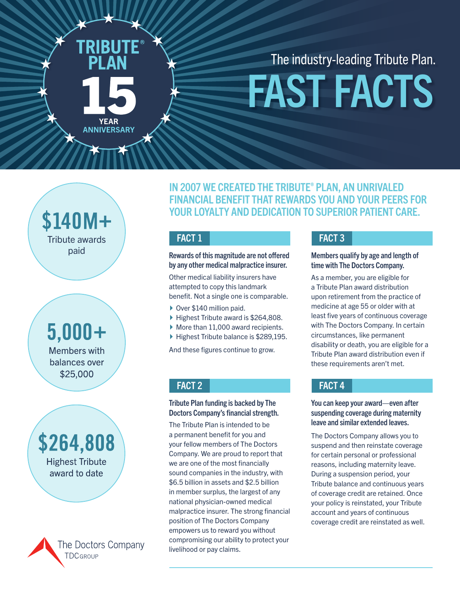**YEAR ANNIVERSARY**  The industry-leading Tribute Plan.

# FAST FACTS

\$140M+ Tribute awards paid

 $5,000+$ **Members with** balances over \$25,000

## \$264,808 **Highest Tribute** award to date



IN 2007 WE CREATED THE TRIBUTE® PLAN, AN UNRIVALED FINANCIAL BENEFIT THAT REWARDS YOU AND YOUR PEERS FOR YOUR LOYALTY AND DEDICATION TO SUPERIOR PATIENT CARE.

### FACT 1

Rewards of this magnitude are not offered by any other medical malpractice insurer.

Other medical liability insurers have attempted to copy this landmark benefit. Not a single one is comparable.

- ▶ Over \$140 million paid.
- ▶ Highest Tribute award is \$264,808.
- $\blacktriangleright$  More than 11,000 award recipients.
- ▶ Highest Tribute balance is \$289,195.

And these figures continue to grow.

### FACT 2

### Tribute Plan funding is backed by The Doctors Company's financial strength.

The Tribute Plan is intended to be a permanent benefit for you and your fellow members of The Doctors Company. We are proud to report that we are one of the most financially sound companies in the industry, with \$6.5 billion in assets and \$2.5 billion in member surplus, the largest of any national physician-owned medical malpractice insurer. The strong financial position of The Doctors Company empowers us to reward you without compromising our ability to protect your livelihood or pay claims.

### FACT 3

### Members qualify by age and length of time with The Doctors Company.

As a member, you are eligible for a Tribute Plan award distribution upon retirement from the practice of medicine at age 55 or older with at least five years of continuous coverage with The Doctors Company. In certain circumstances, like permanent disability or death, you are eligible for a Tribute Plan award distribution even if these requirements aren't met.

### FACT 4

### You can keep your award—even after suspending coverage during maternity leave and similar extended leaves.

The Doctors Company allows you to suspend and then reinstate coverage for certain personal or professional reasons, including maternity leave. During a suspension period, your Tribute balance and continuous years of coverage credit are retained. Once your policy is reinstated, your Tribute account and years of continuous coverage credit are reinstated as well.